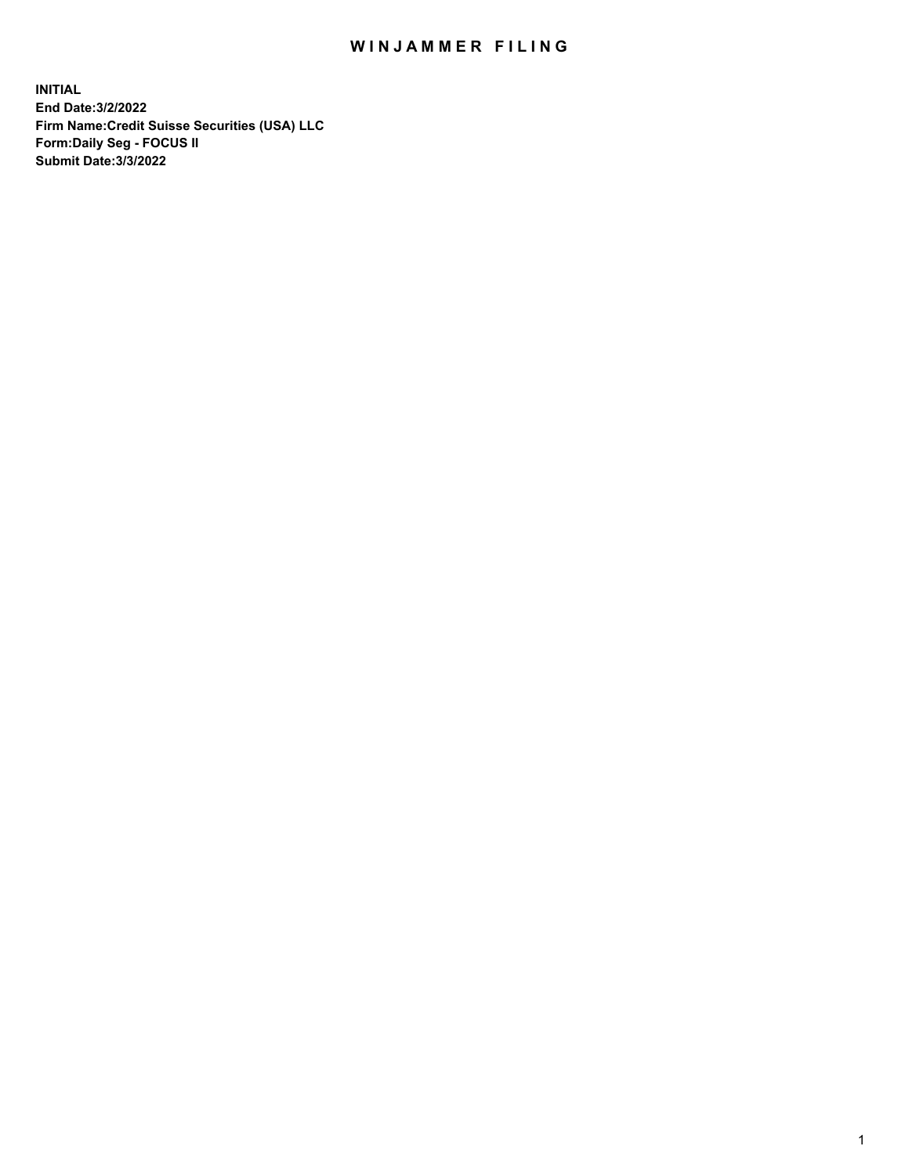# WIN JAMMER FILING

**INITIAL End Date:3/2/2022 Firm Name:Credit Suisse Securities (USA) LLC Form:Daily Seg - FOCUS II Submit Date:3/3/2022**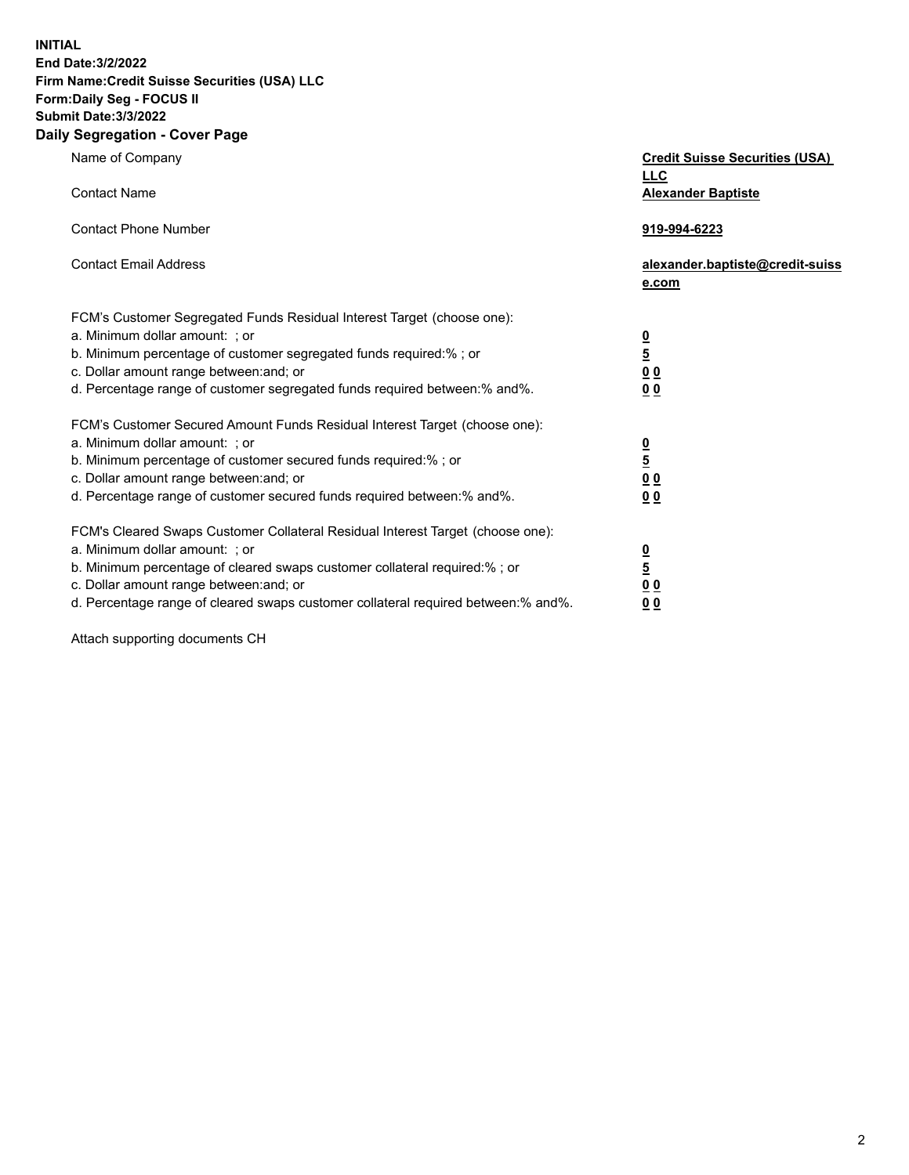**INITIAL** 

## **End Date:3/2/2022 Firm Name:Credit Suisse Securities (USA) LLC Form:Daily Seg - FOCUS II**

## **Submit Date:3/3/2022**

#### **Daily Segregation - Cover Page**

| Name of Company                                                                                                                                                                                                                                                                                                                | <b>Credit Suisse Securities (USA)</b><br><b>LLC</b>     |
|--------------------------------------------------------------------------------------------------------------------------------------------------------------------------------------------------------------------------------------------------------------------------------------------------------------------------------|---------------------------------------------------------|
| <b>Contact Name</b>                                                                                                                                                                                                                                                                                                            | <b>Alexander Baptiste</b>                               |
| <b>Contact Phone Number</b>                                                                                                                                                                                                                                                                                                    | 919-994-6223                                            |
| <b>Contact Email Address</b>                                                                                                                                                                                                                                                                                                   | alexander.baptiste@credit-suiss<br>e.com                |
| FCM's Customer Segregated Funds Residual Interest Target (choose one):<br>a. Minimum dollar amount: ; or<br>b. Minimum percentage of customer segregated funds required:% ; or<br>c. Dollar amount range between: and; or<br>d. Percentage range of customer segregated funds required between:% and%.                         | $\frac{0}{5}$<br>$\underline{0}$ $\underline{0}$<br>0 Q |
| FCM's Customer Secured Amount Funds Residual Interest Target (choose one):<br>a. Minimum dollar amount: ; or<br>b. Minimum percentage of customer secured funds required:% ; or<br>c. Dollar amount range between: and; or<br>d. Percentage range of customer secured funds required between:% and%.                           | $\frac{\frac{0}{5}}{\frac{0}{0}}$<br>0 Q                |
| FCM's Cleared Swaps Customer Collateral Residual Interest Target (choose one):<br>a. Minimum dollar amount: ; or<br>b. Minimum percentage of cleared swaps customer collateral required:% ; or<br>c. Dollar amount range between: and; or<br>d. Percentage range of cleared swaps customer collateral required between:% and%. | $\frac{0}{5}$<br>0 <sub>0</sub><br>0 <sub>0</sub>       |

Attach supporting documents CH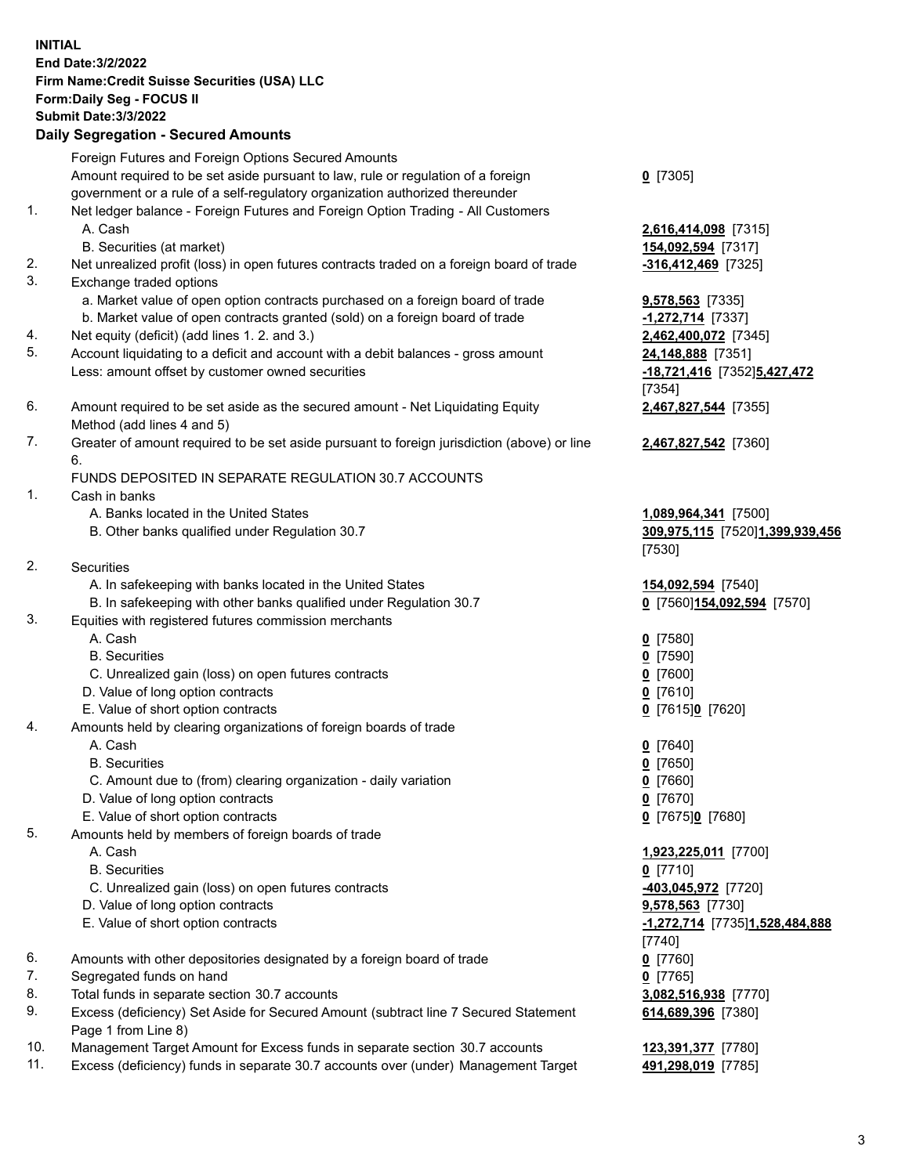#### **INITIAL End Date:3/2/2022 Firm Name:Credit Suisse Securities (USA) LLC Form:Daily Seg - FOCUS II Submit Date:3/3/2022 Daily Segregation - Secured Amounts**

|     | Daily Segregation - Secured Amounts                                                                        |                                 |
|-----|------------------------------------------------------------------------------------------------------------|---------------------------------|
|     | Foreign Futures and Foreign Options Secured Amounts                                                        |                                 |
|     | Amount required to be set aside pursuant to law, rule or regulation of a foreign                           | $0$ [7305]                      |
|     | government or a rule of a self-regulatory organization authorized thereunder                               |                                 |
| 1.  | Net ledger balance - Foreign Futures and Foreign Option Trading - All Customers                            |                                 |
|     | A. Cash                                                                                                    | 2,616,414,098 [7315]            |
|     | B. Securities (at market)                                                                                  | 154,092,594 [7317]              |
| 2.  | Net unrealized profit (loss) in open futures contracts traded on a foreign board of trade                  | $-316,412,469$ [7325]           |
| 3.  | Exchange traded options                                                                                    |                                 |
|     | a. Market value of open option contracts purchased on a foreign board of trade                             | <b>9,578,563</b> [7335]         |
|     | b. Market value of open contracts granted (sold) on a foreign board of trade                               | -1,272,714 [7337]               |
| 4.  | Net equity (deficit) (add lines 1. 2. and 3.)                                                              | 2,462,400,072 [7345]            |
| 5.  | Account liquidating to a deficit and account with a debit balances - gross amount                          | 24,148,888 [7351]               |
|     | Less: amount offset by customer owned securities                                                           | -18,721,416 [7352]5,427,472     |
|     |                                                                                                            | [7354]                          |
| 6.  | Amount required to be set aside as the secured amount - Net Liquidating Equity                             | 2,467,827,544 [7355]            |
|     | Method (add lines 4 and 5)                                                                                 |                                 |
| 7.  | Greater of amount required to be set aside pursuant to foreign jurisdiction (above) or line                | 2,467,827,542 [7360]            |
|     | 6.<br>FUNDS DEPOSITED IN SEPARATE REGULATION 30.7 ACCOUNTS                                                 |                                 |
| 1.  | Cash in banks                                                                                              |                                 |
|     | A. Banks located in the United States                                                                      | 1,089,964,341 [7500]            |
|     | B. Other banks qualified under Regulation 30.7                                                             | 309,975,115 [7520]1,399,939,456 |
|     |                                                                                                            | [7530]                          |
| 2.  | <b>Securities</b>                                                                                          |                                 |
|     | A. In safekeeping with banks located in the United States                                                  | 154,092,594 [7540]              |
|     | B. In safekeeping with other banks qualified under Regulation 30.7                                         | 0 [7560] 154,092,594 [7570]     |
| 3.  | Equities with registered futures commission merchants                                                      |                                 |
|     | A. Cash                                                                                                    | $0$ [7580]                      |
|     | <b>B.</b> Securities                                                                                       | $0$ [7590]                      |
|     | C. Unrealized gain (loss) on open futures contracts                                                        | $0$ [7600]                      |
|     | D. Value of long option contracts                                                                          | $0$ [7610]                      |
|     | E. Value of short option contracts                                                                         | 0 [7615]0 [7620]                |
| 4.  | Amounts held by clearing organizations of foreign boards of trade                                          |                                 |
|     | A. Cash                                                                                                    | $0$ [7640]                      |
|     | <b>B.</b> Securities                                                                                       | $0$ [7650]                      |
|     | C. Amount due to (from) clearing organization - daily variation                                            | $0$ [7660]                      |
|     | D. Value of long option contracts                                                                          | $0$ [7670]                      |
|     | E. Value of short option contracts                                                                         | 0 [7675]0 [7680]                |
| 5.  | Amounts held by members of foreign boards of trade                                                         |                                 |
|     | A. Cash                                                                                                    | 1,923,225,011 [7700]            |
|     | <b>B.</b> Securities                                                                                       | $0$ [7710]                      |
|     | C. Unrealized gain (loss) on open futures contracts                                                        | 403,045,972 [7720]              |
|     | D. Value of long option contracts                                                                          | 9,578,563 [7730]                |
|     | E. Value of short option contracts                                                                         | -1,272,714 [7735]1,528,484,888  |
|     |                                                                                                            | $[7740]$                        |
| 6.  | Amounts with other depositories designated by a foreign board of trade                                     | $0$ [7760]                      |
| 7.  | Segregated funds on hand                                                                                   | $0$ [7765]                      |
| 8.  | Total funds in separate section 30.7 accounts                                                              | 3,082,516,938 [7770]            |
| 9.  | Excess (deficiency) Set Aside for Secured Amount (subtract line 7 Secured Statement<br>Page 1 from Line 8) | 614,689,396 [7380]              |
| 10. | Management Target Amount for Excess funds in separate section 30.7 accounts                                | 123,391,377 [7780]              |
|     |                                                                                                            |                                 |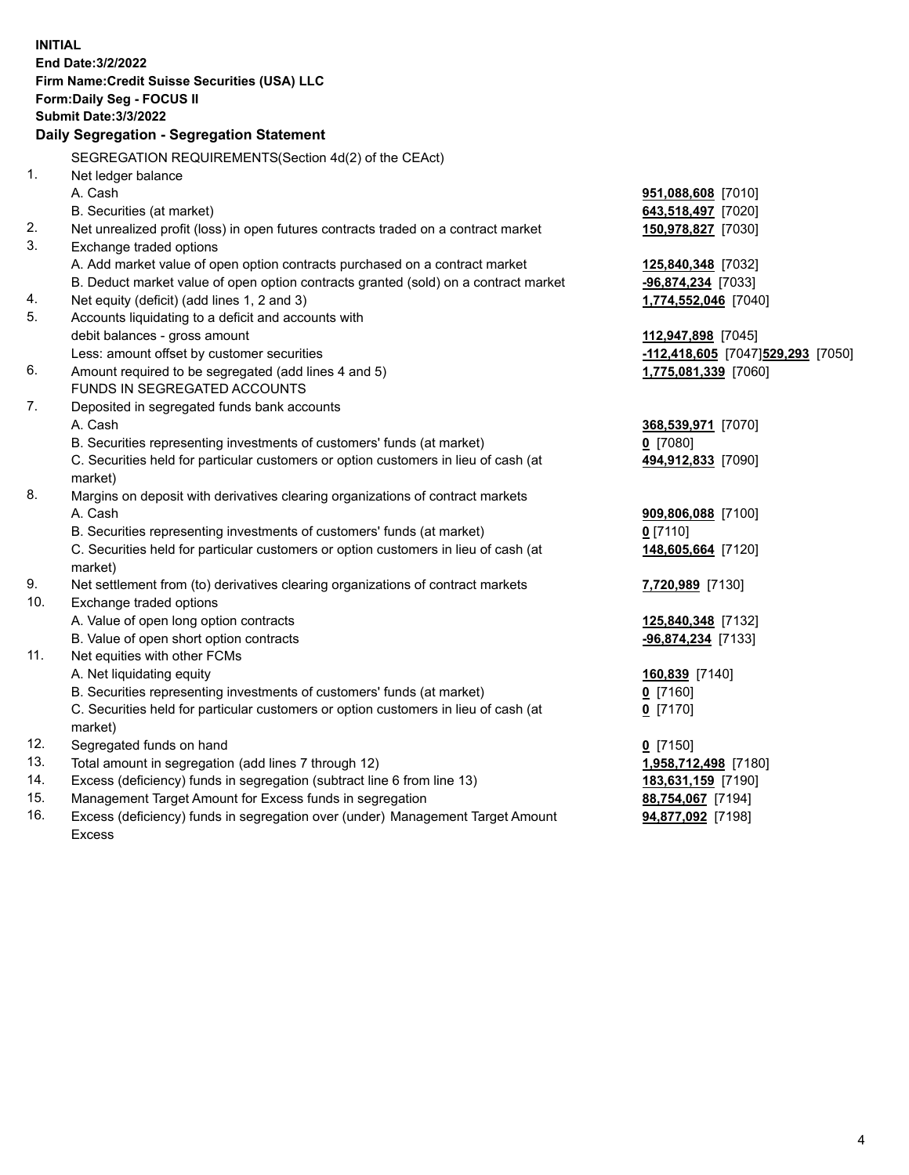| <b>INITIAL</b> | End Date: 3/2/2022<br>Firm Name: Credit Suisse Securities (USA) LLC<br>Form: Daily Seg - FOCUS II<br><b>Submit Date: 3/3/2022</b><br><b>Daily Segregation - Segregation Statement</b> |                                   |
|----------------|---------------------------------------------------------------------------------------------------------------------------------------------------------------------------------------|-----------------------------------|
|                | SEGREGATION REQUIREMENTS(Section 4d(2) of the CEAct)                                                                                                                                  |                                   |
| 1.             | Net ledger balance                                                                                                                                                                    |                                   |
|                | A. Cash                                                                                                                                                                               | 951,088,608 [7010]                |
|                | B. Securities (at market)                                                                                                                                                             | 643,518,497 [7020]                |
| 2.             | Net unrealized profit (loss) in open futures contracts traded on a contract market                                                                                                    | 150,978,827 [7030]                |
| 3.             | Exchange traded options                                                                                                                                                               |                                   |
|                | A. Add market value of open option contracts purchased on a contract market                                                                                                           | 125,840,348 [7032]                |
|                | B. Deduct market value of open option contracts granted (sold) on a contract market                                                                                                   | -96,874,234 [7033]                |
| 4.             | Net equity (deficit) (add lines 1, 2 and 3)                                                                                                                                           | 1,774,552,046 [7040]              |
| 5.             | Accounts liquidating to a deficit and accounts with                                                                                                                                   |                                   |
|                | debit balances - gross amount                                                                                                                                                         | 112,947,898 [7045]                |
|                | Less: amount offset by customer securities                                                                                                                                            | -112,418,605 [7047]529,293 [7050] |
| 6.             | Amount required to be segregated (add lines 4 and 5)                                                                                                                                  | 1,775,081,339 [7060]              |
|                | FUNDS IN SEGREGATED ACCOUNTS                                                                                                                                                          |                                   |
| 7.             | Deposited in segregated funds bank accounts                                                                                                                                           |                                   |
|                | A. Cash                                                                                                                                                                               | 368,539,971 [7070]                |
|                | B. Securities representing investments of customers' funds (at market)                                                                                                                | $0$ [7080]                        |
|                | C. Securities held for particular customers or option customers in lieu of cash (at                                                                                                   | 494,912,833 [7090]                |
| 8.             | market)<br>Margins on deposit with derivatives clearing organizations of contract markets                                                                                             |                                   |
|                | A. Cash                                                                                                                                                                               | 909,806,088 [7100]                |
|                | B. Securities representing investments of customers' funds (at market)                                                                                                                | $0$ [7110]                        |
|                | C. Securities held for particular customers or option customers in lieu of cash (at                                                                                                   | 148,605,664 [7120]                |
|                | market)                                                                                                                                                                               |                                   |
| 9.             | Net settlement from (to) derivatives clearing organizations of contract markets                                                                                                       | 7,720,989 [7130]                  |
| 10.            | Exchange traded options                                                                                                                                                               |                                   |
|                | A. Value of open long option contracts                                                                                                                                                | 125,840,348 [7132]                |
|                | B. Value of open short option contracts                                                                                                                                               | $-96,874,234$ [7133]              |
| 11.            | Net equities with other FCMs                                                                                                                                                          |                                   |
|                | A. Net liquidating equity                                                                                                                                                             | 160,839 [7140]                    |
|                | B. Securities representing investments of customers' funds (at market)                                                                                                                | $0$ [7160]                        |
|                | C. Securities held for particular customers or option customers in lieu of cash (at                                                                                                   | $0$ [7170]                        |
|                | market)                                                                                                                                                                               |                                   |
| 12.            | Segregated funds on hand                                                                                                                                                              | $0$ [7150]                        |
| 13.            | Total amount in segregation (add lines 7 through 12)                                                                                                                                  | 1,958,712,498 [7180]              |
| 14.            | Excess (deficiency) funds in segregation (subtract line 6 from line 13)                                                                                                               | 183,631,159 [7190]                |
| 15.            | Management Target Amount for Excess funds in segregation                                                                                                                              | 88,754,067 [7194]                 |
| 16.            | Excess (deficiency) funds in segregation over (under) Management Target Amount                                                                                                        | 94,877,092 [7198]                 |
|                | <b>Excess</b>                                                                                                                                                                         |                                   |